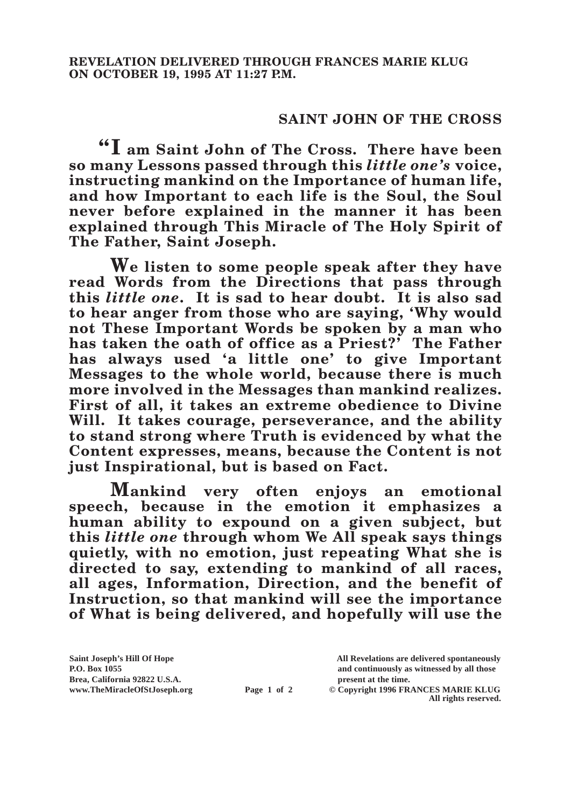## **SAINT JOHN OF THE CROSS**

**"I am Saint John of The Cross. There have been so many Lessons passed through this** *little one's* **voice, instructing mankind on the Importance of human life, and how Important to each life is the Soul, the Soul never before explained in the manner it has been explained through This Miracle of The Holy Spirit of The Father, Saint Joseph.**

**We listen to some people speak after they have read Words from the Directions that pass through this** *little one***. It is sad to hear doubt. It is also sad to hear anger from those who are saying, 'Why would not These Important Words be spoken by a man who has taken the oath of office as a Priest?' The Father has always used 'a little one' to give Important Messages to the whole world, because there is much more involved in the Messages than mankind realizes. First of all, it takes an extreme obedience to Divine Will. It takes courage, perseverance, and the ability to stand strong where Truth is evidenced by what the Content expresses, means, because the Content is not just Inspirational, but is based on Fact.**

**Mankind very often enjoys an emotional speech, because in the emotion it emphasizes a human ability to expound on a given subject, but this** *little one* **through whom We All speak says things quietly, with no emotion, just repeating What she is directed to say, extending to mankind of all races, all ages, Information, Direction, and the benefit of Instruction, so that mankind will see the importance of What is being delivered, and hopefully will use the** 

**Brea, California 92822 U.S.A. present at the time.**

**Saint Joseph's Hill Of Hope All Revelations are delivered spontaneously P.O. Box 1055 and continuously as witnessed by all those** 

**www.TheMiracleOfStJoseph.org Page 1 of 2 © Copyright 1996 FRANCES MARIE KLUG All rights reserved.**